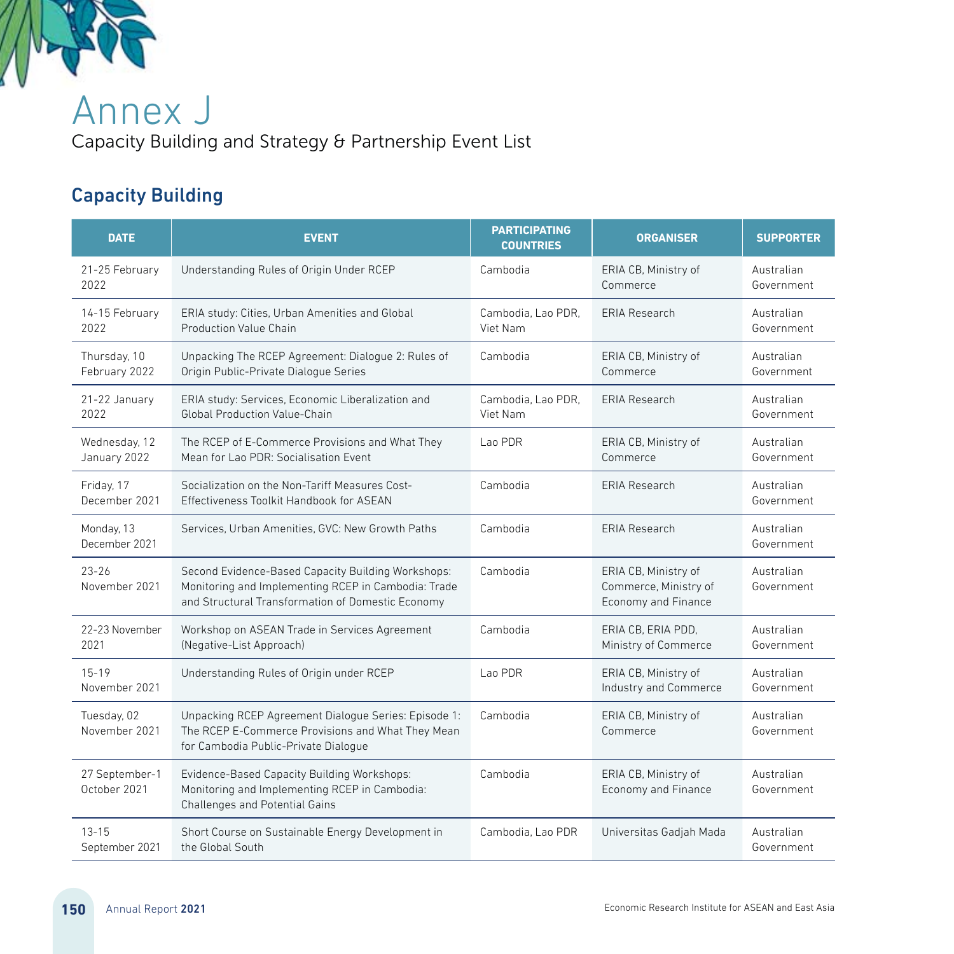

Annex J Capacity Building and Strategy & Partnership Event List

## Capacity Building

| <b>DATE</b>                    | <b>EVENT</b>                                                                                                                                                   | <b>PARTICIPATING</b><br><b>COUNTRIES</b> | <b>ORGANISER</b>                                                     | <b>SUPPORTER</b>         |
|--------------------------------|----------------------------------------------------------------------------------------------------------------------------------------------------------------|------------------------------------------|----------------------------------------------------------------------|--------------------------|
| 21-25 February<br>2022         | Understanding Rules of Origin Under RCEP                                                                                                                       | Cambodia                                 | ERIA CB, Ministry of<br>Commerce                                     | Australian<br>Government |
| 14-15 February<br>2022         | ERIA study: Cities, Urban Amenities and Global<br><b>Production Value Chain</b>                                                                                | Cambodia, Lao PDR.<br>Viet Nam           | <b>ERIA Research</b>                                                 | Australian<br>Government |
| Thursday, 10<br>February 2022  | Unpacking The RCEP Agreement: Dialogue 2: Rules of<br>Origin Public-Private Dialogue Series                                                                    | Cambodia                                 | ERIA CB, Ministry of<br>Commerce                                     | Australian<br>Government |
| 21-22 January<br>2022          | ERIA study: Services, Economic Liberalization and<br><b>Global Production Value-Chain</b>                                                                      | Cambodia. Lao PDR.<br>Viet Nam           | <b>FRIA Research</b>                                                 | Australian<br>Government |
| Wednesday, 12<br>January 2022  | The RCEP of E-Commerce Provisions and What They<br>Mean for Lao PDR: Socialisation Event                                                                       | Lao PDR                                  | ERIA CB, Ministry of<br>Commerce                                     | Australian<br>Government |
| Friday, 17<br>December 2021    | Socialization on the Non-Tariff Measures Cost-<br>Effectiveness Toolkit Handbook for ASEAN                                                                     | Cambodia                                 | <b>FRIA Research</b>                                                 | Australian<br>Government |
| Monday, 13<br>December 2021    | Services, Urban Amenities, GVC: New Growth Paths                                                                                                               | Cambodia                                 | <b>FRIA Research</b>                                                 | Australian<br>Government |
| $23 - 26$<br>November 2021     | Second Evidence-Based Capacity Building Workshops:<br>Monitoring and Implementing RCEP in Cambodia: Trade<br>and Structural Transformation of Domestic Economy | Cambodia                                 | ERIA CB, Ministry of<br>Commerce, Ministry of<br>Economy and Finance | Australian<br>Government |
| 22-23 November<br>2021         | Workshop on ASEAN Trade in Services Agreement<br>(Negative-List Approach)                                                                                      | Cambodia                                 | ERIA CB. ERIA PDD.<br>Ministry of Commerce                           | Australian<br>Government |
| $15 - 19$<br>November 2021     | Understanding Rules of Origin under RCEP                                                                                                                       | Lao PDR                                  | ERIA CB, Ministry of<br>Industry and Commerce                        | Australian<br>Government |
| Tuesday, 02<br>November 2021   | Unpacking RCEP Agreement Dialogue Series: Episode 1:<br>The RCEP E-Commerce Provisions and What They Mean<br>for Cambodia Public-Private Dialogue              | Cambodia                                 | ERIA CB, Ministry of<br>Commerce                                     | Australian<br>Government |
| 27 September-1<br>October 2021 | Evidence-Based Capacity Building Workshops:<br>Monitoring and Implementing RCEP in Cambodia:<br>Challenges and Potential Gains                                 | Cambodia                                 | ERIA CB, Ministry of<br><b>Economy and Finance</b>                   | Australian<br>Government |
| $13 - 15$<br>September 2021    | Short Course on Sustainable Energy Development in<br>the Global South                                                                                          | Cambodia, Lao PDR                        | Universitas Gadjah Mada                                              | Australian<br>Government |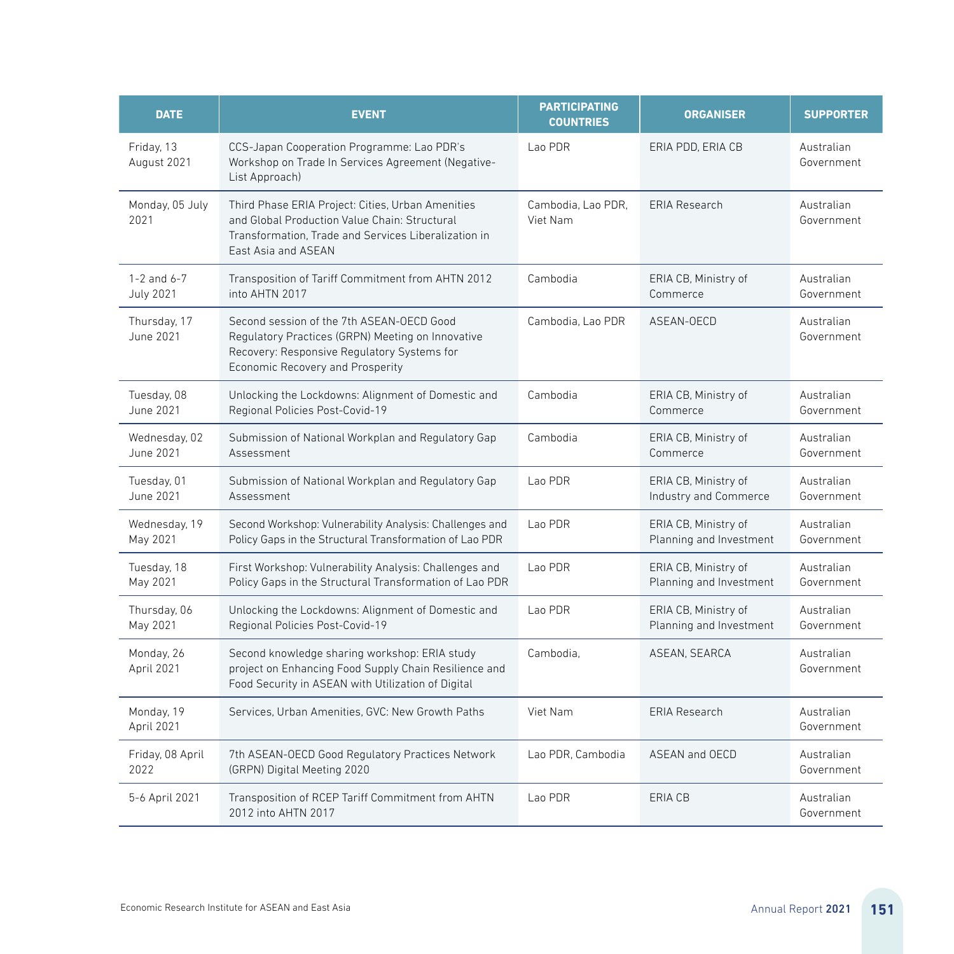| <b>DATE</b>                         | <b>EVENT</b>                                                                                                                                                                             | <b>PARTICIPATING</b><br><b>COUNTRIES</b> | <b>ORGANISER</b>                                | <b>SUPPORTER</b>         |
|-------------------------------------|------------------------------------------------------------------------------------------------------------------------------------------------------------------------------------------|------------------------------------------|-------------------------------------------------|--------------------------|
| Friday, 13<br>August 2021           | CCS-Japan Cooperation Programme: Lao PDR's<br>Workshop on Trade In Services Agreement (Negative-<br>List Approach)                                                                       | Lao PDR                                  | ERIA PDD, ERIA CB                               | Australian<br>Government |
| Monday, 05 July<br>2021             | Third Phase ERIA Project: Cities, Urban Amenities<br>and Global Production Value Chain: Structural<br>Transformation. Trade and Services Liberalization in<br><b>Fast Asia and ASFAN</b> | Cambodia, Lao PDR,<br>Viet Nam           | <b>ERIA Research</b>                            | Australian<br>Government |
| $1-2$ and $6-7$<br><b>July 2021</b> | Transposition of Tariff Commitment from AHTN 2012<br>into AHTN 2017                                                                                                                      | Cambodia                                 | ERIA CB, Ministry of<br>Commerce                | Australian<br>Government |
| Thursday, 17<br>June 2021           | Second session of the 7th ASEAN-OECD Good<br>Regulatory Practices (GRPN) Meeting on Innovative<br>Recovery: Responsive Regulatory Systems for<br>Economic Recovery and Prosperity        | Cambodia, Lao PDR                        | ASEAN-OECD                                      | Australian<br>Government |
| Tuesday, 08<br>June 2021            | Unlocking the Lockdowns: Alignment of Domestic and<br>Regional Policies Post-Covid-19                                                                                                    | Cambodia                                 | ERIA CB, Ministry of<br>Commerce                | Australian<br>Government |
| Wednesday, 02<br>June 2021          | Submission of National Workplan and Regulatory Gap<br>Assessment                                                                                                                         | Cambodia                                 | ERIA CB, Ministry of<br>Commerce                | Australian<br>Government |
| Tuesday, 01<br>June 2021            | Submission of National Workplan and Regulatory Gap<br>Assessment                                                                                                                         | Lao PDR                                  | ERIA CB, Ministry of<br>Industry and Commerce   | Australian<br>Government |
| Wednesday, 19<br>May 2021           | Second Workshop: Vulnerability Analysis: Challenges and<br>Policy Gaps in the Structural Transformation of Lao PDR                                                                       | Lao PDR                                  | ERIA CB, Ministry of<br>Planning and Investment | Australian<br>Government |
| Tuesday, 18<br>May 2021             | First Workshop: Vulnerability Analysis: Challenges and<br>Policy Gaps in the Structural Transformation of Lao PDR                                                                        | Lao PDR                                  | ERIA CB, Ministry of<br>Planning and Investment | Australian<br>Government |
| Thursday, 06<br>May 2021            | Unlocking the Lockdowns: Alignment of Domestic and<br>Regional Policies Post-Covid-19                                                                                                    | Lao PDR                                  | ERIA CB, Ministry of<br>Planning and Investment | Australian<br>Government |
| Monday, 26<br>April 2021            | Second knowledge sharing workshop: ERIA study<br>project on Enhancing Food Supply Chain Resilience and<br>Food Security in ASEAN with Utilization of Digital                             | Cambodia.                                | ASEAN, SEARCA                                   | Australian<br>Government |
| Monday, 19<br>April 2021            | Services, Urban Amenities, GVC: New Growth Paths                                                                                                                                         | Viet Nam                                 | <b>FRIA Research</b>                            | Australian<br>Government |
| Friday, 08 April<br>2022            | 7th ASEAN-OECD Good Regulatory Practices Network<br>(GRPN) Digital Meeting 2020                                                                                                          | Lao PDR, Cambodia                        | ASEAN and OECD                                  | Australian<br>Government |
| 5-6 April 2021                      | Transposition of RCEP Tariff Commitment from AHTN<br>2012 into AHTN 2017                                                                                                                 | Lao PDR                                  | ERIA CB                                         | Australian<br>Government |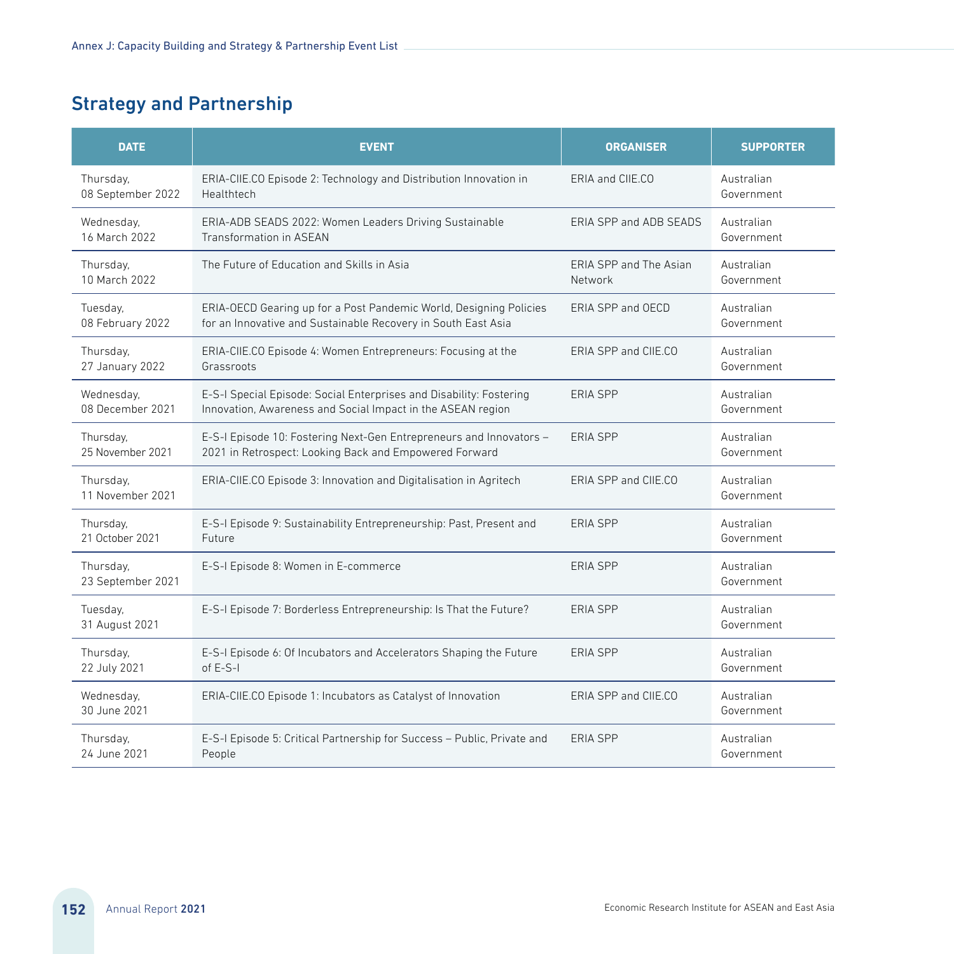## Strategy and Partnership

| <b>DATE</b>                    | <b>EVENT</b>                                                            | <b>ORGANISER</b>       | <b>SUPPORTER</b>         |
|--------------------------------|-------------------------------------------------------------------------|------------------------|--------------------------|
| Thursday,                      | ERIA-CIIE.CO Episode 2: Technology and Distribution Innovation in       | ERIA and CIIE.CO       | Australian               |
| 08 September 2022              | Healthtech                                                              |                        | Government               |
| Wednesday,                     | ERIA-ADB SEADS 2022: Women Leaders Driving Sustainable                  | FRIA SPP and ADB SFADS | Australian               |
| 16 March 2022                  | Transformation in ASEAN                                                 |                        | Government               |
| Thursday,                      | The Future of Education and Skills in Asia                              | FRIA SPP and The Asian | Australian               |
| 10 March 2022                  |                                                                         | Network                | Government               |
| Tuesday,                       | ERIA-OECD Gearing up for a Post Pandemic World, Designing Policies      | FRIA SPP and OFCD      | Australian               |
| 08 February 2022               | for an Innovative and Sustainable Recovery in South East Asia           |                        | Government               |
| Thursday,                      | ERIA-CIIE.CO Episode 4: Women Entrepreneurs: Focusing at the            | FRIA SPP and CIIF.CO   | Australian               |
| 27 January 2022                | Grassroots                                                              |                        | Government               |
| Wednesday,                     | E-S-I Special Episode: Social Enterprises and Disability: Fostering     | FRIA SPP               | Australian               |
| 08 December 2021               | Innovation, Awareness and Social Impact in the ASEAN region             |                        | Government               |
| Thursday,                      | E-S-I Episode 10: Fostering Next-Gen Entrepreneurs and Innovators -     | FRIA SPP               | Australian               |
| 25 November 2021               | 2021 in Retrospect: Looking Back and Empowered Forward                  |                        | Government               |
| Thursday,<br>11 November 2021  | ERIA-CIIE.CO Episode 3: Innovation and Digitalisation in Agritech       | ERIA SPP and CIIE.CO   | Australian<br>Government |
| Thursday,                      | E-S-I Episode 9: Sustainability Entrepreneurship: Past, Present and     | FRIA SPP               | Australian               |
| 21 October 2021                | Future                                                                  |                        | Government               |
| Thursday,<br>23 September 2021 | E-S-I Episode 8: Women in E-commerce                                    | <b>FRIA SPP</b>        | Australian<br>Government |
| Tuesday,<br>31 August 2021     | E-S-I Episode 7: Borderless Entrepreneurship: Is That the Future?       | <b>FRIA SPP</b>        | Australian<br>Government |
| Thursday,                      | E-S-I Episode 6: Of Incubators and Accelerators Shaping the Future      | FRIA SPP               | Australian               |
| 22 July 2021                   | of $F-S-I$                                                              |                        | Government               |
| Wednesday,<br>30 June 2021     | ERIA-CIIE.CO Episode 1: Incubators as Catalyst of Innovation            | ERIA SPP and CIIE.CO   | Australian<br>Government |
| Thursday,                      | E-S-I Episode 5: Critical Partnership for Success - Public, Private and | <b>ERIA SPP</b>        | Australian               |
| 24 June 2021                   | People                                                                  |                        | Government               |